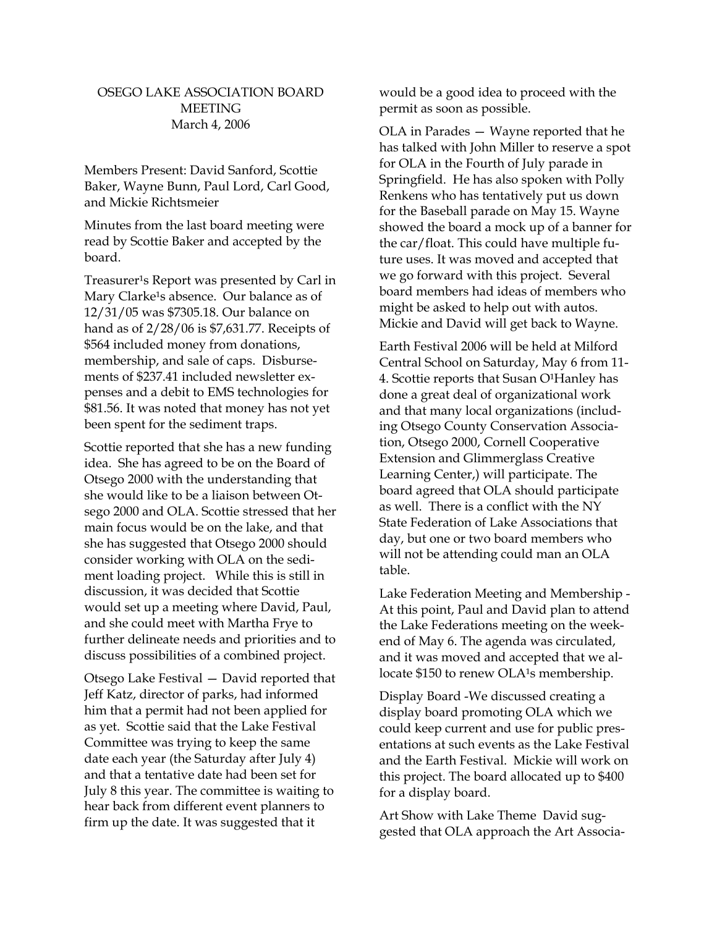## OSEGO LAKE ASSOCIATION BOARD **MEETING** March 4, 2006

Members Present: David Sanford, Scottie Baker, Wayne Bunn, Paul Lord, Carl Good, and Mickie Richtsmeier

Minutes from the last board meeting were read by Scottie Baker and accepted by the board.

Treasurer<sup>1</sup>s Report was presented by Carl in Mary Clarke<sup>1</sup>s absence. Our balance as of 12/31/05 was \$7305.18. Our balance on hand as of 2/28/06 is \$7,631.77. Receipts of \$564 included money from donations, membership, and sale of caps. Disbursements of \$237.41 included newsletter expenses and a debit to EMS technologies for \$81.56. It was noted that money has not yet been spent for the sediment traps.

Scottie reported that she has a new funding idea. She has agreed to be on the Board of Otsego 2000 with the understanding that she would like to be a liaison between Otsego 2000 and OLA. Scottie stressed that her main focus would be on the lake, and that she has suggested that Otsego 2000 should consider working with OLA on the sediment loading project. While this is still in discussion, it was decided that Scottie would set up a meeting where David, Paul, and she could meet with Martha Frye to further delineate needs and priorities and to discuss possibilities of a combined project.

Otsego Lake Festival — David reported that Jeff Katz, director of parks, had informed him that a permit had not been applied for as yet. Scottie said that the Lake Festival Committee was trying to keep the same date each year (the Saturday after July 4) and that a tentative date had been set for July 8 this year. The committee is waiting to hear back from different event planners to firm up the date. It was suggested that it

would be a good idea to proceed with the permit as soon as possible.

OLA in Parades — Wayne reported that he has talked with John Miller to reserve a spot for OLA in the Fourth of July parade in Springfield. He has also spoken with Polly Renkens who has tentatively put us down for the Baseball parade on May 15. Wayne showed the board a mock up of a banner for the car/float. This could have multiple future uses. It was moved and accepted that we go forward with this project. Several board members had ideas of members who might be asked to help out with autos. Mickie and David will get back to Wayne.

Earth Festival 2006 will be held at Milford Central School on Saturday, May 6 from 11- 4. Scottie reports that Susan O<sup>1</sup>Hanley has done a great deal of organizational work and that many local organizations (including Otsego County Conservation Association, Otsego 2000, Cornell Cooperative Extension and Glimmerglass Creative Learning Center,) will participate. The board agreed that OLA should participate as well. There is a conflict with the NY State Federation of Lake Associations that day, but one or two board members who will not be attending could man an OLA table.

Lake Federation Meeting and Membership - At this point, Paul and David plan to attend the Lake Federations meeting on the weekend of May 6. The agenda was circulated, and it was moved and accepted that we allocate \$150 to renew OLA<sup>1</sup>s membership.

Display Board -We discussed creating a display board promoting OLA which we could keep current and use for public presentations at such events as the Lake Festival and the Earth Festival. Mickie will work on this project. The board allocated up to \$400 for a display board.

Art Show with Lake Theme David suggested that OLA approach the Art Associa-